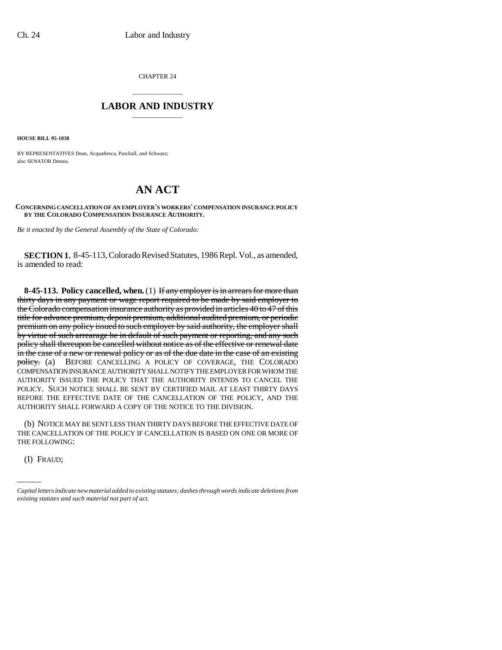CHAPTER 24

## \_\_\_\_\_\_\_\_\_\_\_\_\_\_\_ **LABOR AND INDUSTRY** \_\_\_\_\_\_\_\_\_\_\_\_\_\_\_

**HOUSE BILL 95-1038**

BY REPRESENTATIVES Dean, Acquafresca, Paschall, and Schwarz; also SENATOR Dennis.

## **AN ACT**

**CONCERNING CANCELLATION OF AN EMPLOYER'S WORKERS' COMPENSATION INSURANCE POLICY BY THE COLORADO COMPENSATION INSURANCE AUTHORITY.**

*Be it enacted by the General Assembly of the State of Colorado:*

**SECTION 1.** 8-45-113, Colorado Revised Statutes, 1986 Repl. Vol., as amended, is amended to read:

**8-45-113. Policy cancelled, when.** (1) If any employer is in arrears for more than thirty days in any payment or wage report required to be made by said employer to the Colorado compensation insurance authority as provided in articles 40 to 47 of this title for advance premium, deposit premium, additional audited premium, or periodic premium on any policy issued to such employer by said authority, the employer shall by virtue of such arrearage be in default of such payment or reporting, and any such policy shall thereupon be cancelled without notice as of the effective or renewal date in the case of a new or renewal policy or as of the due date in the case of an existing policy. (a) BEFORE CANCELLING A POLICY OF COVERAGE, THE COLORADO COMPENSATION INSURANCE AUTHORITY SHALL NOTIFY THE EMPLOYER FOR WHOM THE AUTHORITY ISSUED THE POLICY THAT THE AUTHORITY INTENDS TO CANCEL THE POLICY. SUCH NOTICE SHALL BE SENT BY CERTIFIED MAIL AT LEAST THIRTY DAYS BEFORE THE EFFECTIVE DATE OF THE CANCELLATION OF THE POLICY, AND THE AUTHORITY SHALL FORWARD A COPY OF THE NOTICE TO THE DIVISION.

(b) NOTICE MAY BE SENT LESS THAN THIRTY DAYS BEFORE THE EFFECTIVE DATE OF THE CANCELLATION OF THE POLICY IF CANCELLATION IS BASED ON ONE OR MORE OF THE FOLLOWING:

(I) FRAUD;

*Capital letters indicate new material added to existing statutes; dashes through words indicate deletions from existing statutes and such material not part of act.*